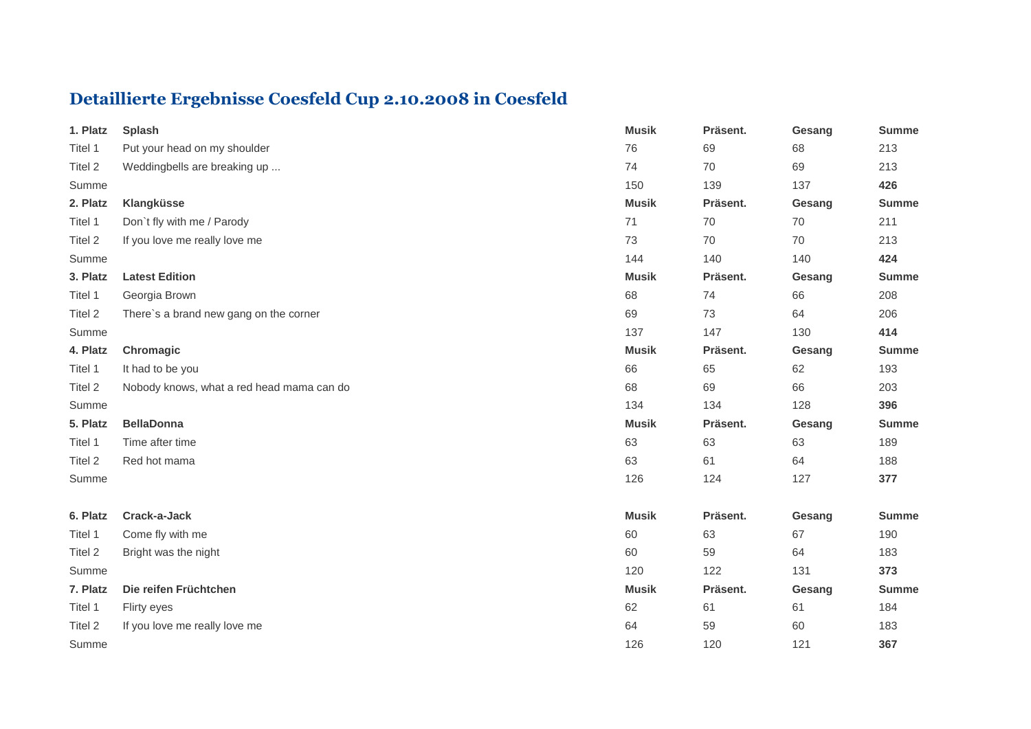## **Detaillierte Ergebnisse Coesfeld Cup 2.10.2008 in Coesfeld**

| 1. Platz | <b>Splash</b>                             | <b>Musik</b> | Präsent. | Gesang | <b>Summe</b> |
|----------|-------------------------------------------|--------------|----------|--------|--------------|
| Titel 1  | Put your head on my shoulder              | 76           | 69       | 68     | 213          |
| Titel 2  | Weddingbells are breaking up              | 74           | 70       | 69     | 213          |
| Summe    |                                           | 150          | 139      | 137    | 426          |
| 2. Platz | Klangküsse                                | <b>Musik</b> | Präsent. | Gesang | <b>Summe</b> |
| Titel 1  | Don't fly with me / Parody                | 71           | 70       | 70     | 211          |
| Titel 2  | If you love me really love me             | 73           | 70       | 70     | 213          |
| Summe    |                                           | 144          | 140      | 140    | 424          |
| 3. Platz | <b>Latest Edition</b>                     | <b>Musik</b> | Präsent. | Gesang | <b>Summe</b> |
| Titel 1  | Georgia Brown                             | 68           | 74       | 66     | 208          |
| Titel 2  | There's a brand new gang on the corner    | 69           | 73       | 64     | 206          |
| Summe    |                                           | 137          | 147      | 130    | 414          |
| 4. Platz | Chromagic                                 | <b>Musik</b> | Präsent. | Gesang | <b>Summe</b> |
| Titel 1  | It had to be you                          | 66           | 65       | 62     | 193          |
| Titel 2  | Nobody knows, what a red head mama can do | 68           | 69       | 66     | 203          |
| Summe    |                                           | 134          | 134      | 128    | 396          |
| 5. Platz | <b>BellaDonna</b>                         | <b>Musik</b> | Präsent. | Gesang | <b>Summe</b> |
| Titel 1  | Time after time                           | 63           | 63       | 63     | 189          |
| Titel 2  | Red hot mama                              | 63           | 61       | 64     | 188          |
| Summe    |                                           | 126          | 124      | 127    | 377          |
| 6. Platz | Crack-a-Jack                              | <b>Musik</b> | Präsent. | Gesang | <b>Summe</b> |
| Titel 1  | Come fly with me                          | 60           | 63       | 67     | 190          |
| Titel 2  | Bright was the night                      | 60           | 59       | 64     | 183          |
| Summe    |                                           | 120          | 122      | 131    | 373          |
| 7. Platz | Die reifen Früchtchen                     | <b>Musik</b> | Präsent. | Gesang | <b>Summe</b> |
| Titel 1  | Flirty eyes                               | 62           | 61       | 61     | 184          |
| Titel 2  | If you love me really love me             | 64           | 59       | 60     | 183          |
| Summe    |                                           | 126          | 120      | 121    | 367          |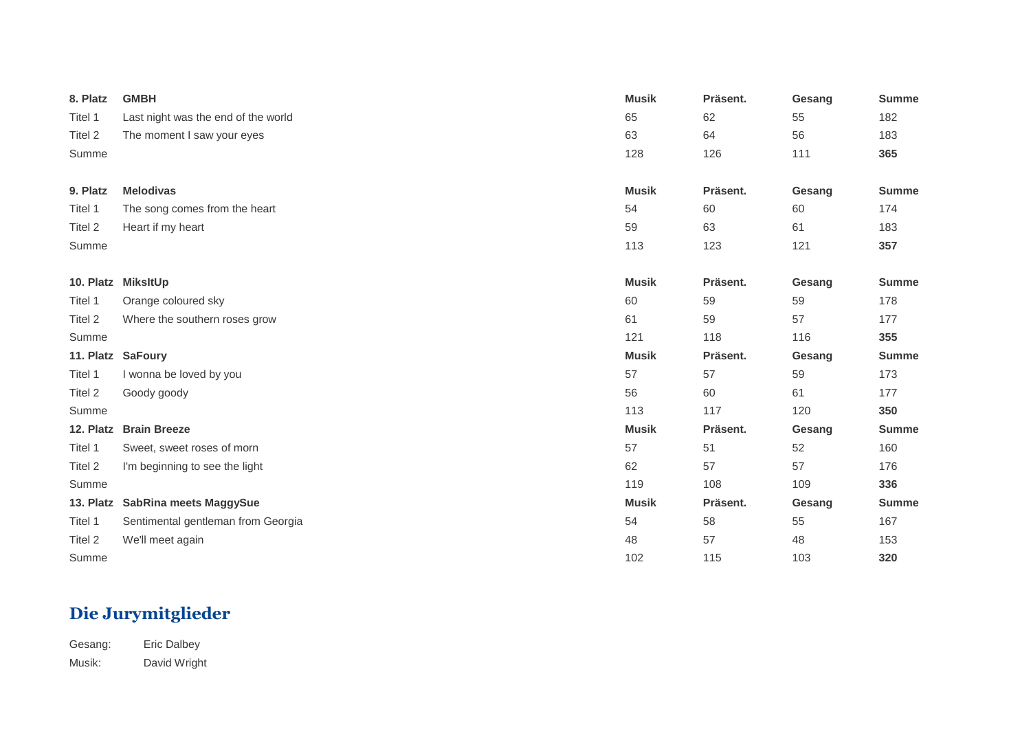| 8. Platz  | <b>GMBH</b>                         | <b>Musik</b> | Präsent. | Gesang | <b>Summe</b> |
|-----------|-------------------------------------|--------------|----------|--------|--------------|
| Titel 1   | Last night was the end of the world | 65           | 62       | 55     | 182          |
| Titel 2   | The moment I saw your eyes          | 63           | 64       | 56     | 183          |
| Summe     |                                     | 128          | 126      | 111    | 365          |
|           |                                     |              |          |        |              |
| 9. Platz  | <b>Melodivas</b>                    | <b>Musik</b> | Präsent. | Gesang | <b>Summe</b> |
| Titel 1   | The song comes from the heart       | 54           | 60       | 60     | 174          |
| Titel 2   | Heart if my heart                   | 59           | 63       | 61     | 183          |
| Summe     |                                     | 113          | 123      | 121    | 357          |
|           |                                     |              |          |        |              |
| 10. Platz | <b>MiksItUp</b>                     | <b>Musik</b> | Präsent. | Gesang | <b>Summe</b> |
| Titel 1   | Orange coloured sky                 | 60           | 59       | 59     | 178          |
| Titel 2   | Where the southern roses grow       | 61           | 59       | 57     | 177          |
| Summe     |                                     | 121          | 118      | 116    | 355          |
| 11. Platz | <b>SaFoury</b>                      | <b>Musik</b> | Präsent. | Gesang | <b>Summe</b> |
| Titel 1   | I wonna be loved by you             | 57           | 57       | 59     | 173          |
| Titel 2   | Goody goody                         | 56           | 60       | 61     | 177          |
| Summe     |                                     | 113          | 117      | 120    | 350          |
| 12. Platz | <b>Brain Breeze</b>                 | <b>Musik</b> | Präsent. | Gesang | <b>Summe</b> |
| Titel 1   | Sweet, sweet roses of morn          | 57           | 51       | 52     | 160          |
| Titel 2   | I'm beginning to see the light      | 62           | 57       | 57     | 176          |
| Summe     |                                     | 119          | 108      | 109    | 336          |
| 13. Platz | SabRina meets MaggySue              | <b>Musik</b> | Präsent. | Gesang | <b>Summe</b> |
| Titel 1   | Sentimental gentleman from Georgia  | 54           | 58       | 55     | 167          |
| Titel 2   | We'll meet again                    | 48           | 57       | 48     | 153          |
| Summe     |                                     | 102          | 115      | 103    | 320          |

## **Die Jurymitglieder**

Gesang: Eric Dalbey Musik: David Wright